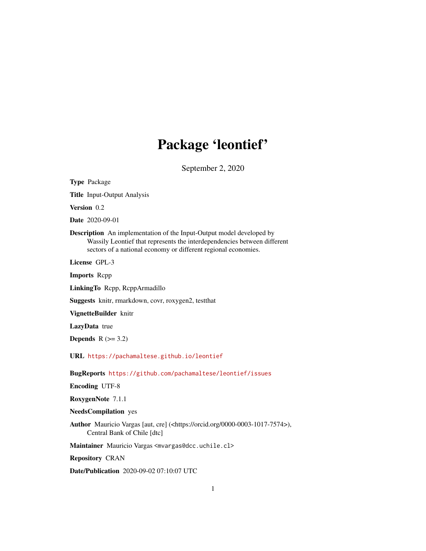# Package 'leontief'

September 2, 2020

Type Package Title Input-Output Analysis Version 0.2 Date 2020-09-01 Description An implementation of the Input-Output model developed by Wassily Leontief that represents the interdependencies between different sectors of a national economy or different regional economies. License GPL-3 Imports Rcpp LinkingTo Rcpp, RcppArmadillo Suggests knitr, rmarkdown, covr, roxygen2, testthat VignetteBuilder knitr LazyData true Depends  $R$  ( $>= 3.2$ ) URL <https://pachamaltese.github.io/leontief> BugReports <https://github.com/pachamaltese/leontief/issues> Encoding UTF-8 RoxygenNote 7.1.1 NeedsCompilation yes Author Mauricio Vargas [aut, cre] (<https://orcid.org/0000-0003-1017-7574>), Central Bank of Chile [dtc] Maintainer Mauricio Vargas <mvargas@dcc.uchile.cl> Repository CRAN Date/Publication 2020-09-02 07:10:07 UTC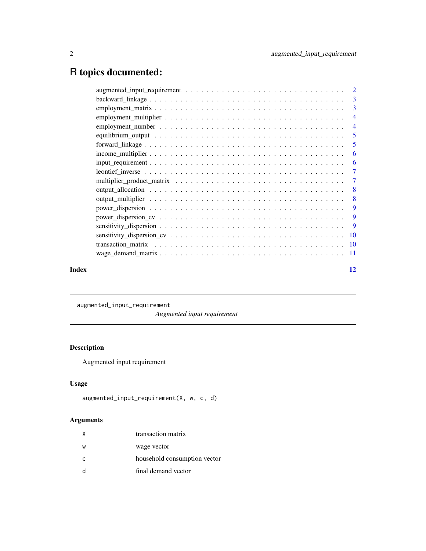## <span id="page-1-0"></span>R topics documented:

|       | $\overline{\phantom{0}}$ 5 |
|-------|----------------------------|
|       |                            |
|       |                            |
|       | -6                         |
|       |                            |
|       |                            |
|       |                            |
|       |                            |
|       |                            |
|       |                            |
|       |                            |
|       |                            |
|       |                            |
|       |                            |
| Index | 12                         |

augmented\_input\_requirement

*Augmented input requirement*

#### Description

Augmented input requirement

#### Usage

```
augmented_input_requirement(X, w, c, d)
```
#### Arguments

|              | transaction matrix           |
|--------------|------------------------------|
| W            | wage vector                  |
| $\mathsf{C}$ | household consumption vector |
|              | final demand vector          |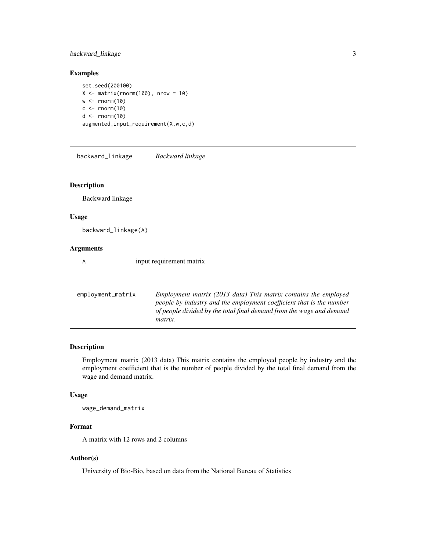#### <span id="page-2-0"></span>backward\_linkage 3

#### Examples

set.seed(200100)  $X \leq -$  matrix(rnorm(100), nrow = 10)  $w \leq rnorm(10)$  $c \le$ - rnorm $(10)$  $d \leq -rnorm(10)$ augmented\_input\_requirement(X,w,c,d)

backward\_linkage *Backward linkage*

#### Description

Backward linkage

#### Usage

backward\_linkage(A)

#### Arguments

A input requirement matrix

| employment_matrix | Employment matrix (2013 data) This matrix contains the employed      |
|-------------------|----------------------------------------------------------------------|
|                   | people by industry and the employment coefficient that is the number |
|                   | of people divided by the total final demand from the wage and demand |
|                   | <i>matrix.</i>                                                       |
|                   |                                                                      |

#### Description

Employment matrix (2013 data) This matrix contains the employed people by industry and the employment coefficient that is the number of people divided by the total final demand from the wage and demand matrix.

#### Usage

wage\_demand\_matrix

#### Format

A matrix with 12 rows and 2 columns

#### Author(s)

University of Bio-Bio, based on data from the National Bureau of Statistics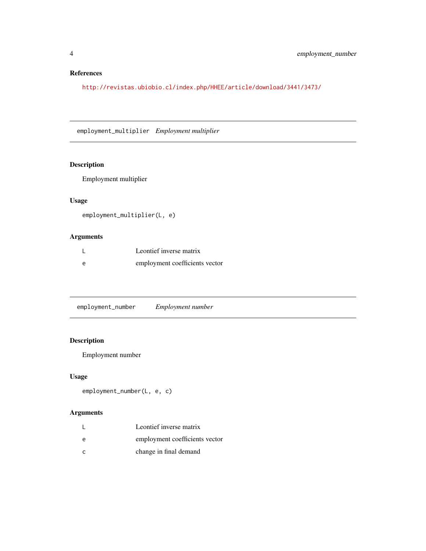#### <span id="page-3-0"></span>References

<http://revistas.ubiobio.cl/index.php/HHEE/article/download/3441/3473/>

employment\_multiplier *Employment multiplier*

#### Description

Employment multiplier

#### Usage

employment\_multiplier(L, e)

#### Arguments

| Leontief inverse matrix        |
|--------------------------------|
| employment coefficients vector |

employment\_number *Employment number*

#### Description

Employment number

#### Usage

```
employment_number(L, e, c)
```
#### Arguments

|   | Leontief inverse matrix        |
|---|--------------------------------|
| e | employment coefficients vector |
|   | change in final demand         |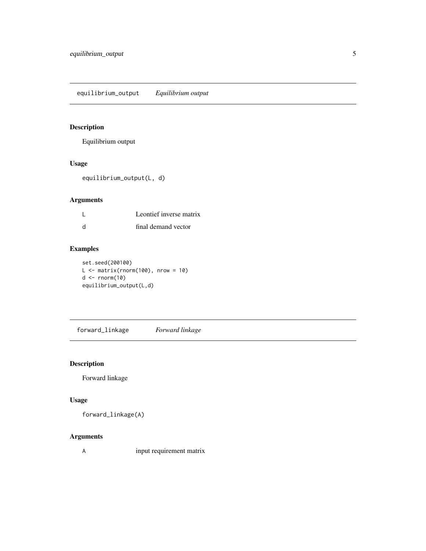<span id="page-4-0"></span>equilibrium\_output *Equilibrium output*

#### Description

Equilibrium output

#### Usage

equilibrium\_output(L, d)

#### Arguments

| Leontief inverse matrix |
|-------------------------|
| final demand vector     |

#### Examples

set.seed(200100)  $L \le$  matrix(rnorm(100), nrow = 10)  $d \leftarrow \text{norm}(10)$ equilibrium\_output(L,d)

forward\_linkage *Forward linkage*

#### Description

Forward linkage

#### Usage

forward\_linkage(A)

#### Arguments

A input requirement matrix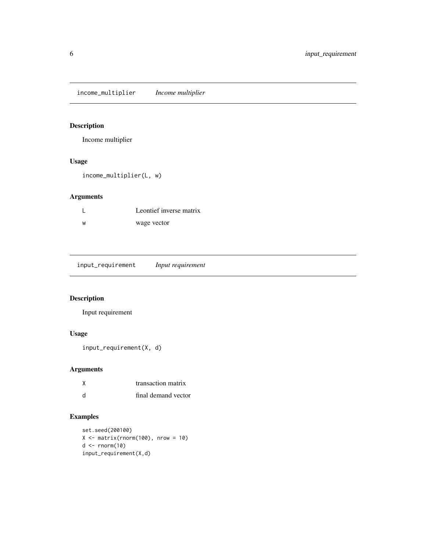<span id="page-5-0"></span>income\_multiplier *Income multiplier*

#### Description

Income multiplier

#### Usage

income\_multiplier(L, w)

#### Arguments

|    | Leontief inverse matrix |
|----|-------------------------|
| ้พ | wage vector             |

| input_requirement |  | Input requirement |
|-------------------|--|-------------------|
|-------------------|--|-------------------|

#### Description

Input requirement

#### Usage

input\_requirement(X, d)

#### Arguments

|    | transaction matrix  |
|----|---------------------|
| -d | final demand vector |

### Examples

```
set.seed(200100)
X \leftarrow matrix(rnorm(100), nrow = 10)d \leftarrow \text{norm}(10)input_requirement(X,d)
```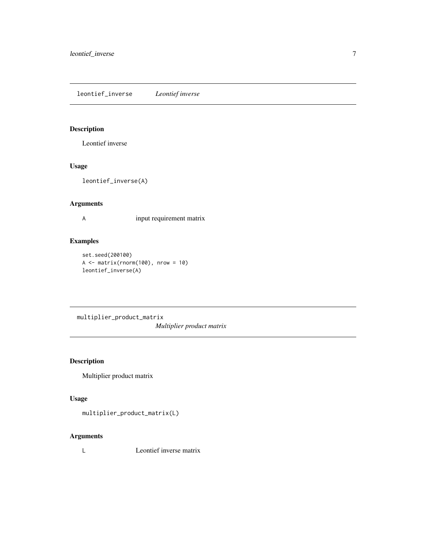<span id="page-6-0"></span>leontief\_inverse *Leontief inverse*

#### Description

Leontief inverse

#### Usage

leontief\_inverse(A)

#### Arguments

A input requirement matrix

#### Examples

```
set.seed(200100)
A \leftarrow matrix(rnorm(100), nrow = 10)leontief_inverse(A)
```
multiplier\_product\_matrix *Multiplier product matrix*

#### Description

Multiplier product matrix

#### Usage

multiplier\_product\_matrix(L)

#### Arguments

L Leontief inverse matrix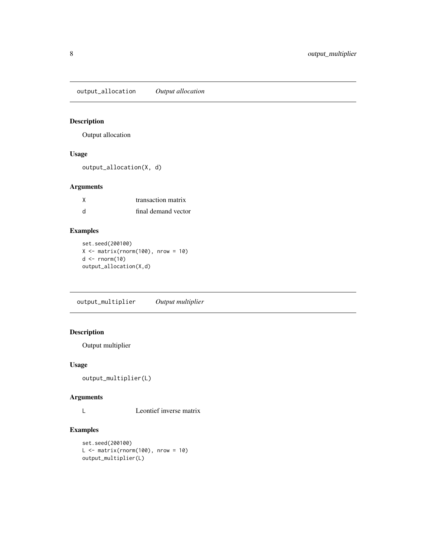<span id="page-7-0"></span>output\_allocation *Output allocation*

#### Description

Output allocation

#### Usage

output\_allocation(X, d)

#### Arguments

|     | transaction matrix  |
|-----|---------------------|
| - d | final demand vector |

#### Examples

set.seed(200100)  $X \leq -$  matrix(rnorm(100), nrow = 10)  $d \leftarrow \text{norm}(10)$ output\_allocation(X,d)

output\_multiplier *Output multiplier*

#### Description

Output multiplier

#### Usage

```
output_multiplier(L)
```
#### Arguments

L Leontief inverse matrix

#### Examples

```
set.seed(200100)
L \le matrix(rnorm(100), nrow = 10)
output_multiplier(L)
```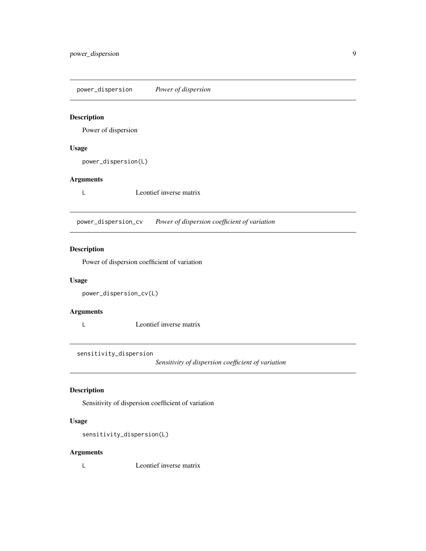<span id="page-8-0"></span>power\_dispersion *Power of dispersion*

#### Description

Power of dispersion

#### Usage

power\_dispersion(L)

#### Arguments

L Leontief inverse matrix

power\_dispersion\_cv *Power of dispersion coefficient of variation*

#### Description

Power of dispersion coefficient of variation

#### Usage

```
power_dispersion_cv(L)
```
#### Arguments

L Leontief inverse matrix

sensitivity\_dispersion

*Sensitivity of dispersion coefficient of variation*

#### Description

Sensitivity of dispersion coefficient of variation

#### Usage

sensitivity\_dispersion(L)

#### Arguments

L Leontief inverse matrix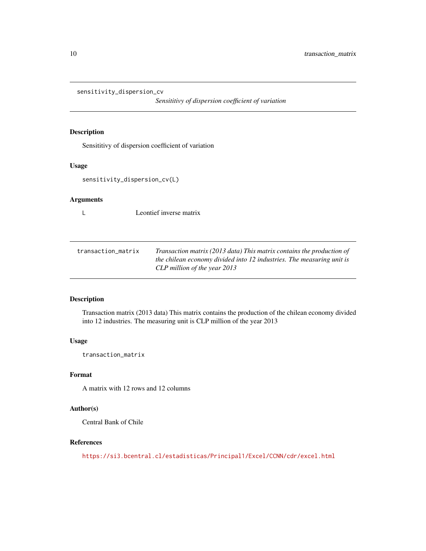```
sensitivity_dispersion_cv
```
*Sensititivy of dispersion coefficient of variation*

#### Description

Sensititivy of dispersion coefficient of variation

#### Usage

```
sensitivity_dispersion_cv(L)
```
#### Arguments

L Leontief inverse matrix

| transaction matrix | Transaction matrix (2013 data) This matrix contains the production of |
|--------------------|-----------------------------------------------------------------------|
|                    | the chilean economy divided into 12 industries. The measuring unit is |
|                    | CLP million of the year 2013                                          |

#### Description

Transaction matrix (2013 data) This matrix contains the production of the chilean economy divided into 12 industries. The measuring unit is CLP million of the year 2013

#### Usage

transaction\_matrix

#### Format

A matrix with 12 rows and 12 columns

#### Author(s)

Central Bank of Chile

#### References

<https://si3.bcentral.cl/estadisticas/Principal1/Excel/CCNN/cdr/excel.html>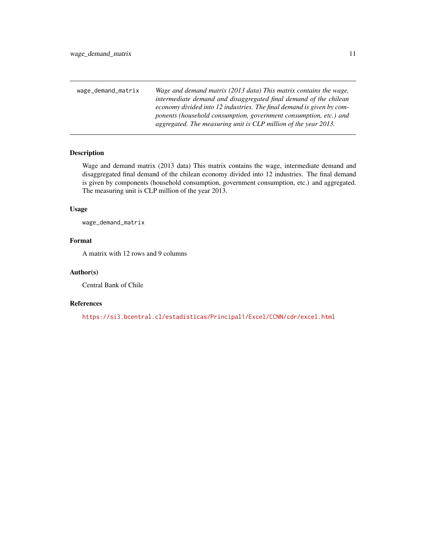<span id="page-10-0"></span>wage\_demand\_matrix *Wage and demand matrix (2013 data) This matrix contains the wage, intermediate demand and disaggregated final demand of the chilean economy divided into 12 industries. The final demand is given by components (household consumption, government consumption, etc.) and aggregated. The measuring unit is CLP million of the year 2013.*

#### Description

Wage and demand matrix (2013 data) This matrix contains the wage, intermediate demand and disaggregated final demand of the chilean economy divided into 12 industries. The final demand is given by components (household consumption, government consumption, etc.) and aggregated. The measuring unit is CLP million of the year 2013.

#### Usage

wage\_demand\_matrix

#### Format

A matrix with 12 rows and 9 columns

#### Author(s)

Central Bank of Chile

#### References

<https://si3.bcentral.cl/estadisticas/Principal1/Excel/CCNN/cdr/excel.html>